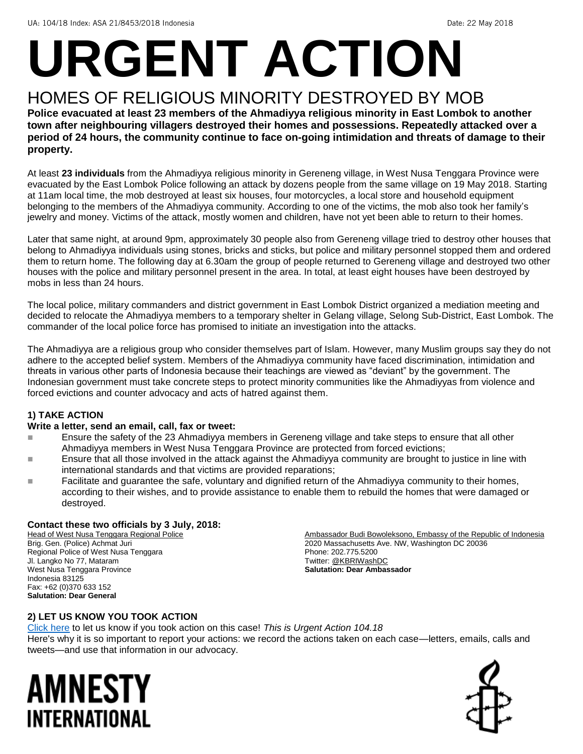# **URGENT ACTION**

## HOMES OF RELIGIOUS MINORITY DESTROYED BY MOB

**Police evacuated at least 23 members of the Ahmadiyya religious minority in East Lombok to another town after neighbouring villagers destroyed their homes and possessions. Repeatedly attacked over a period of 24 hours, the community continue to face on-going intimidation and threats of damage to their property.**

At least **23 individuals** from the Ahmadiyya religious minority in Gereneng village, in West Nusa Tenggara Province were evacuated by the East Lombok Police following an attack by dozens people from the same village on 19 May 2018. Starting at 11am local time, the mob destroyed at least six houses, four motorcycles, a local store and household equipment belonging to the members of the Ahmadiyya community. According to one of the victims, the mob also took her family's jewelry and money. Victims of the attack, mostly women and children, have not yet been able to return to their homes.

Later that same night, at around 9pm, approximately 30 people also from Gereneng village tried to destroy other houses that belong to Ahmadiyya individuals using stones, bricks and sticks, but police and military personnel stopped them and ordered them to return home. The following day at 6.30am the group of people returned to Gereneng village and destroyed two other houses with the police and military personnel present in the area. In total, at least eight houses have been destroyed by mobs in less than 24 hours.

The local police, military commanders and district government in East Lombok District organized a mediation meeting and decided to relocate the Ahmadiyya members to a temporary shelter in Gelang village, Selong Sub-District, East Lombok. The commander of the local police force has promised to initiate an investigation into the attacks.

The Ahmadiyya are a religious group who consider themselves part of Islam. However, many Muslim groups say they do not adhere to the accepted belief system. Members of the Ahmadiyya community have faced discrimination, intimidation and threats in various other parts of Indonesia because their teachings are viewed as "deviant" by the government. The Indonesian government must take concrete steps to protect minority communities like the Ahmadiyyas from violence and forced evictions and counter advocacy and acts of hatred against them.

#### **1) TAKE ACTION**

#### **Write a letter, send an email, call, fax or tweet:**

- Ensure the safety of the 23 Ahmadiyya members in Gereneng village and take steps to ensure that all other Ahmadiyya members in West Nusa Tenggara Province are protected from forced evictions;
- Ensure that all those involved in the attack against the Ahmadiyya community are brought to justice in line with international standards and that victims are provided reparations;
- Facilitate and guarantee the safe, voluntary and dignified return of the Ahmadiyya community to their homes, according to their wishes, and to provide assistance to enable them to rebuild the homes that were damaged or destroyed.

#### **Contact these two officials by 3 July, 2018:**

Head of West Nusa Tenggara Regional Police Brig. Gen. (Police) Achmat Juri Regional Police of West Nusa Tenggara Jl. Langko No 77, Mataram West Nusa Tenggara Province Indonesia 83125 Fax: +62 (0)370 633 152 **Salutation: Dear General**

Ambassador Budi Bowoleksono, Embassy of the Republic of Indonesia 2020 Massachusetts Ave. NW, Washington DC 20036 Phone: 202.775.5200 Twitter[: @KBRIWashDC](https://twitter.com/KBRIWashDC?ref_src=twsrc%5Egoogle%7Ctwcamp%5Eserp%7Ctwgr%5Eauthor) **Salutation: Dear Ambassador**

#### **2) LET US KNOW YOU TOOK ACTION**

[Click here](https://www.amnestyusa.org/report-urgent-actions/) to let us know if you took action on this case! *This is Urgent Action 104.18* Here's why it is so important to report your actions: we record the actions taken on each case—letters, emails, calls and tweets—and use that information in our advocacy.